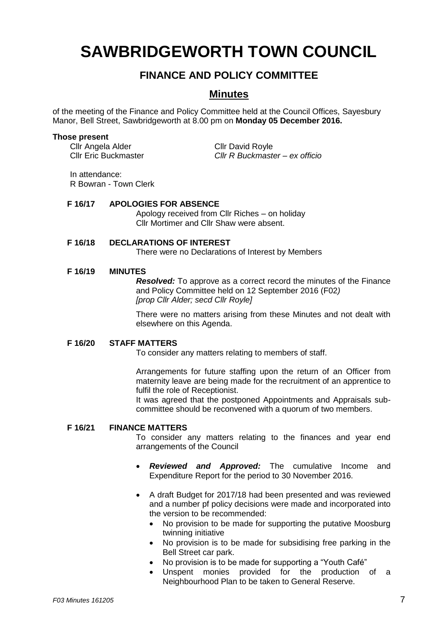# **SAWBRIDGEWORTH TOWN COUNCIL**

## **FINANCE AND POLICY COMMITTEE**

### **Minutes**

of the meeting of the Finance and Policy Committee held at the Council Offices, Sayesbury Manor, Bell Street, Sawbridgeworth at 8.00 pm on **Monday 05 December 2016.**

#### **Those present**

Cllr Angela Alder<br>Cllr Eric Buckmaster Cllr R Buckmaster

Cllr Eric Buckmaster *Cllr R Buckmaster – ex officio*

In attendance: R Bowran - Town Clerk

#### **F 16/17 APOLOGIES FOR ABSENCE**

Apology received from Cllr Riches – on holiday Cllr Mortimer and Cllr Shaw were absent.

#### **F 16/18 DECLARATIONS OF INTEREST**

There were no Declarations of Interest by Members

#### **F 16/19 MINUTES**

*Resolved:* To approve as a correct record the minutes of the Finance and Policy Committee held on 12 September 2016 (F02*) [prop Cllr Alder; secd Cllr Royle]*

There were no matters arising from these Minutes and not dealt with elsewhere on this Agenda.

#### **F 16/20 STAFF MATTERS**

To consider any matters relating to members of staff.

Arrangements for future staffing upon the return of an Officer from maternity leave are being made for the recruitment of an apprentice to fulfil the role of Receptionist.

It was agreed that the postponed Appointments and Appraisals subcommittee should be reconvened with a quorum of two members.

#### **F 16/21 FINANCE MATTERS**

To consider any matters relating to the finances and year end arrangements of the Council

- *Reviewed and Approved:* The cumulative Income and Expenditure Report for the period to 30 November 2016.
- A draft Budget for 2017/18 had been presented and was reviewed and a number pf policy decisions were made and incorporated into the version to be recommended:
	- No provision to be made for supporting the putative Moosburg twinning initiative
	- No provision is to be made for subsidising free parking in the Bell Street car park.
	- No provision is to be made for supporting a "Youth Café"
	- Unspent monies provided for the production of a Neighbourhood Plan to be taken to General Reserve.